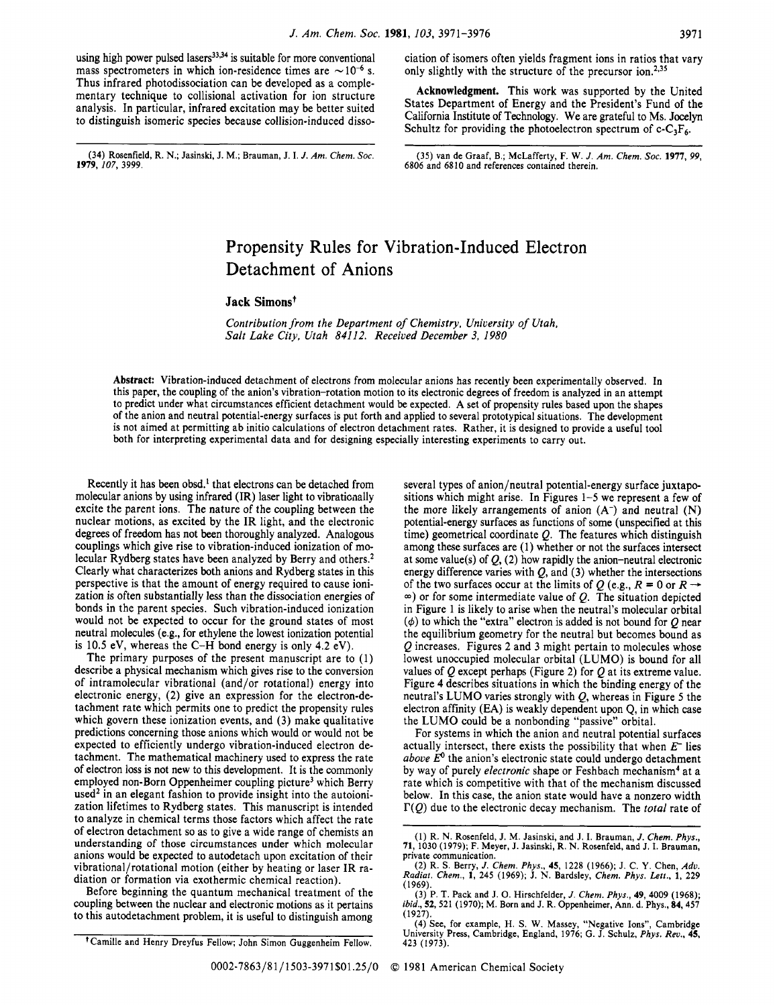using high power pulsed lasers<sup>33,34</sup> is suitable for more conventional mass spectrometers in which ion-residence times are  $\sim 10^{-6}$  s.<br>Thus inferred abottalized it is a semi-land surface convention Thus infrared photodissociation can be developed as a complementary technique to collisional activation for ion structure analysis. In particular, infrared excitation may be better suited to distinguish isomeric species because collision-induced disso-

**(34)** Rosenfield, R. N.; Jasinski, J. M.; Brauman, J. I. *J. Am. Chem. SOC.* **(35)** van de Graaf, B.; McLafferty, F. W. J. *Am. Chem. SOC.* **1977,** *99,* 

ciation of isomers often yields fragment ions in ratios that vary only slightly with the structure of the precursor ion.<sup>2,35</sup>

**Acknowledgment.** This work was supported by the United States Department of Energy and the President's Fund of the California Institute of Technology. We are grateful to Ms. Jocelyn Schultz for providing the photoelectron spectrum of  $c - C_3F_6$ .

**1979,** *107,* **3999. 6806** and **6810** and references contained therein.

# Propensity Rules for Vibration-Induced Electron Detachment of Anions

### **Jack Simons**<sup>†</sup>

*Contribution from the Department of Chemistry, University of Utah, Salt Lake City, Utah 84112. Received December 3, 1980* 

**Abstract:** Vibration-induced detachment of electrons from molecular anions has recently been experimentally observed. **In**  this paper, the coupling of the anion's vibration-rotation motion to its electronic degrees of freedom is analyzed in an attempt to predict under what circumstances efficient detachment would be expected. **A** set of propensity rules based upon the shapes of the anion and neutral potential-energy surfaces is put forth and applied to several prototypical situations. The development is not aimed at permitting ab initio calculations of electron detachment rates. Rather, it is designed to provide a useful tool both for interpreting experimental data and for designing especially interesting experiments to carry out.

Recently it has **been** obsd.' that electrons can be detached from molecular anions by using infrared (IR) laser light to vibraticnally excite the parent ions. The nature of the coupling between the nuclear motions, as excited by the IR light, and the electronic degrees of freedom has not **been** thoroughly analyzed. Analogous couplings which give rise to vibration-induced ionization of molecular Rydberg states have been analyzed by Berry and others.<sup>2</sup> Clearly what characterizes both anions and Rydberg states in this perspective is that the amount of energy required to cause ionization is often substantially less than the dissociation energies of bonds in the parent species. Such vibration-induced ionization would not be expected to occur for the ground states of most neutral molecules (e.g., for ethylene the lowest ionization potential is 10.5 eV, whereas the C-H bond energy is only 4.2 eV).

The primary purposes of the present manuscript are to (1) describe a physical mechanism which gives rise to the conversion of intramolecular vibrational (and/or rotational) energy into electronic energy, (2) give an expression for the electron-detachment rate which permits one to predict the propensity rules which govern these ionization events, and (3) make qualitative predictions concerning those anions which would or would not be expected to efficiently undergo vibration-induced electron detachment. The mathematical machinery used to express the rate of electron loss is not new to this development. It is the commonly employed non-Born Oppenheimer coupling picture<sup>3</sup> which Berry used<sup>2</sup> in an elegant fashion to provide insight into the autoionization lifetimes to Rydberg states. This manuscript is intended to analyze in chemical terms those factors which affect the rate of electron detachment so as to give a wide range of chemists an understanding of those circumstances under which molecular anions would be expected to autodetach **upon** excitation of their vibrational/rotational motion (either by heating or laser IR radiation or formation via exothermic chemical reaction).

Before beginning the quantum mechanical treatment of the coupling between the nuclear and electronic motions as it pertains to this autodetachment problem, it is useful to distinguish among

For systems in which the anion and neutral potential surfaces actually intersect, there exists the possibility that when *E-* lies  $above E<sup>0</sup>$  the anion's electronic state could undergo detachment by way of purely *electronic* shape or Feshbach mechanism<sup>4</sup> at a rate which is competitive with that of the mechanism discussed below. In this case, the anion state would have a nonzero width r(Q) due to the electronic decay mechanism. The *total* rate of

several types of anion/neutral potential-energy surface juxtapositions which might arise. In Figures 1-5 we represent a few of the more likely arrangements of anion  $(A^-)$  and neutral  $(N)$ potential-energy surfaces as functions of some (unspecified at this time) geometrical coordinate **Q.** The features which distinguish among these surfaces are (1) whether or not the surfaces intersect at some value(s) of  $Q_1$ , (2) how rapidly the anion-neutral electronic energy difference varies with **Q,** and **(3)** whether the intersections of the two surfaces occur at the limits of  $Q$  (e.g.,  $R = 0$  or  $R \rightarrow$ **a)** or for some intermediate value of *Q.* The situation depicted in Figure 1 is likely to arise when the neutral's molecular orbital  $(\phi)$  to which the "extra" electron is added is not bound for  $Q$  near the equilibrium geometry for the neutral but becomes bound as **Q** increases. Figures 2 and 3 might pertain to molecules whose lowest unoccupied molecular orbital (LUMO) is bound for all values of *Q* except perhaps (Figure 2) for *Q* at its extreme value. Figure 4 describes situations in which the binding energy of the neutral's LUMO varies strongly with **Q,** whereas in Figure *5* the electron affinity (EA) is weakly dependent **upon** Q, in which case the LUMO could be a nonbonding "passive" orbital.

<sup>(1)</sup> R. N. Rosenfeld, J. M. Jasinski, and J. I. Brauman, *J. Chem. Phys.,*  **71, 1030 (1979);** F. Meyer, J. Jasinski, R. N. Rosenfeld, and J. I. Brauman, private communication.

**<sup>(2)</sup>** R. **S.** Berry, *J. Chem. Phys.,* **45, 1228 (1966);** J. C. Y. Chen, *Adu. Rodiot. Chem.,* **I, 245 (1969);** J. N. Bardsley, *Chem. Phys. Len.,* **1, 229 (1969).** 

**<sup>(3)</sup>** P. T. Pack and J. 0. Hirschfelder, *J. Chem. Phys.,* **49,4009 (1968);**  *ibid.,* **52, 521 (1970);** M. Born and J. R. Oppenheimer, **Ann.** d. Phys., **84,457 (1927).** 

**<sup>(4)</sup>** See, for example, H. **S.** W. Massey, "Negative Ions", Cambridge University Press, Cambridge, England, **1976;** G. J. Schulz, *Phys. Reu.,* **45, 423 (1973).** 

<sup>&#</sup>x27;Camille and Henry Dreyfus Fellow; John Simon Guggenheim Fellow.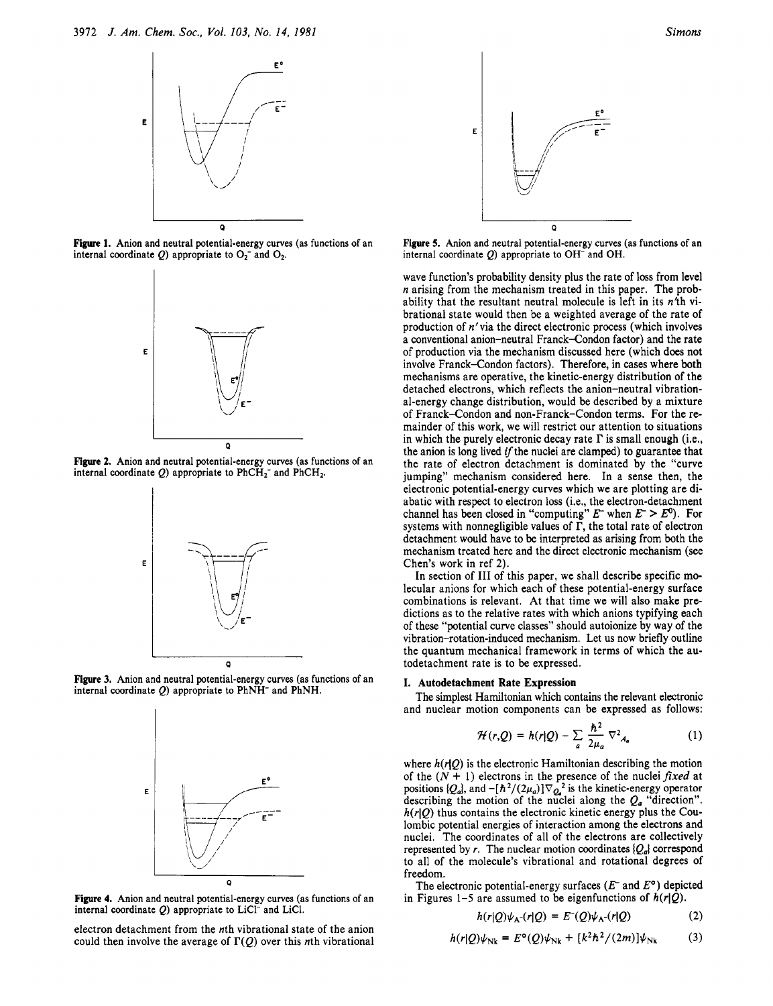

**Figure 1.** Anion and neutral potential-energy curves (as functions of an internal coordinate  $Q$ ) appropriate to  $O_2^-$  and  $O_2$ .



**Figure 2.** Anion and neutral potential-energy curves (as functions of an internal coordinate  $Q$ ) appropriate to PhCH<sub>2</sub>- and PhCH<sub>2</sub>.



**Figure 3.** Anion and neutral potential-energy curves (as functions of an internal coordinate Q) appropriate to PhNH- and PhNH.



**Figure 4.** Anion and neutral potential-energy curves (as functions **of** an internal coordinate Q) appropriate to LiC1- and LiC1.

electron detachment from the nth vibrational state of the anion could then involve the average of  $\Gamma(Q)$  over this nth vibrational



**Figure 5.** Anion and neutral potential-energy curves (as functions **of** an internal coordinate Q) appropriate to OH<sup>-</sup> and OH.

wave function's probability density plus the rate of loss from level *n* arising from the mechanism treated in this paper. The probability that the resultant neutral molecule is left in its  $n<sup>4</sup>$ h vibrational state would then be a weighted average of the rate of production of n'via the direct electronic process (which involves a conventional anion-neutral Franck-Condon factor) and the rate of production via the mechanism discussed here (which does not involve Franck-Condon factors). Therefore, in cases where both mechanisms are operative, the kinetic-energy distribution of the detached electrons, which reflects the anion-neutral vibrational-energy change distribution, would be described by a mixture of Franck-Condon and non-Franck-Condon terms. For the remainder of this work, we will restrict our attention to situations in which the purely electronic decay rate  $\Gamma$  is small enough (i.e., the anion is long lived if the nuclei are clamped) to guarantee that the rate of electron detachment is dominated by the "curve jumping" mechanism considered here. **In** a sense then, the electronic potential-energy curves which we are plotting are diabatic with respect to electron loss (i.e., the electron-detachment channel has been closed in "computing"  $E^-$  when  $E^- > E^0$ ). For systems with nonnegligible values of  $\Gamma$ , the total rate of electron detachment would have to be interpreted as arising from both the mechanism treated here and the direct electronic mechanism (see Chen's work in ref **2).** 

**In** section of **I11** of this paper, we shall describe specific molecular anions for which each of these potential-energy surface combinations is relevant. At that time we will also make predictions as to the relative rates with which anions typifying each of these "potential curve classes" should autoionize by way of the vibration-rotation-induced mechanism. Let **us** now briefly outline the quantum mechanical framework in terms of which the autodetachment rate is to be expressed.

### **I. Autodetachment Rate Expression**

The simplest Hamiltonian which contains the relevant electronic and nuclear motion components can be expressed as follows:

$$
\mathcal{H}(r,Q) = h(r|Q) - \sum_{a} \frac{\hbar^2}{2\mu_a} \nabla^2_{A_a}
$$
 (1)

where  $h(r|Q)$  is the electronic Hamiltonian describing the motion of the  $(N + 1)$  electrons in the presence of the nuclei fixed at positions  $\{Q_a\}$ , and  $-[{\hbar^2}/{(2\mu_a)}]\nabla_{Q_a}^2$  is the kinetic-energy operator describing the motion of the nuclei along the  $Q_a$  "direction".  $h(r|Q)$  thus contains the electronic kinetic energy plus the Coulombic potential energies of interaction among the electrons and nuclei. The coordinates of all of the electrons are collectively represented by *r*. The nuclear motion coordinates  $\{Q_a\}$  correspond to all of the molecule's vibrational and rotational degrees of freedom.

The electronic potential-energy surfaces *(E-* and *Eo)* depicted in Figures 1-5 are assumed to be eigenfunctions of  $h(r|Q)$ .

$$
h(r|Q)\psi_{A}(-r|Q) = E^{-}(Q)\psi_{A}(-r|Q)
$$
 (2)

$$
h(r|Q)\psi_{\text{Nk}} = E^{\circ}(Q)\psi_{\text{Nk}} + [k^2\hbar^2/(2m)]\psi_{\text{Nk}} \tag{3}
$$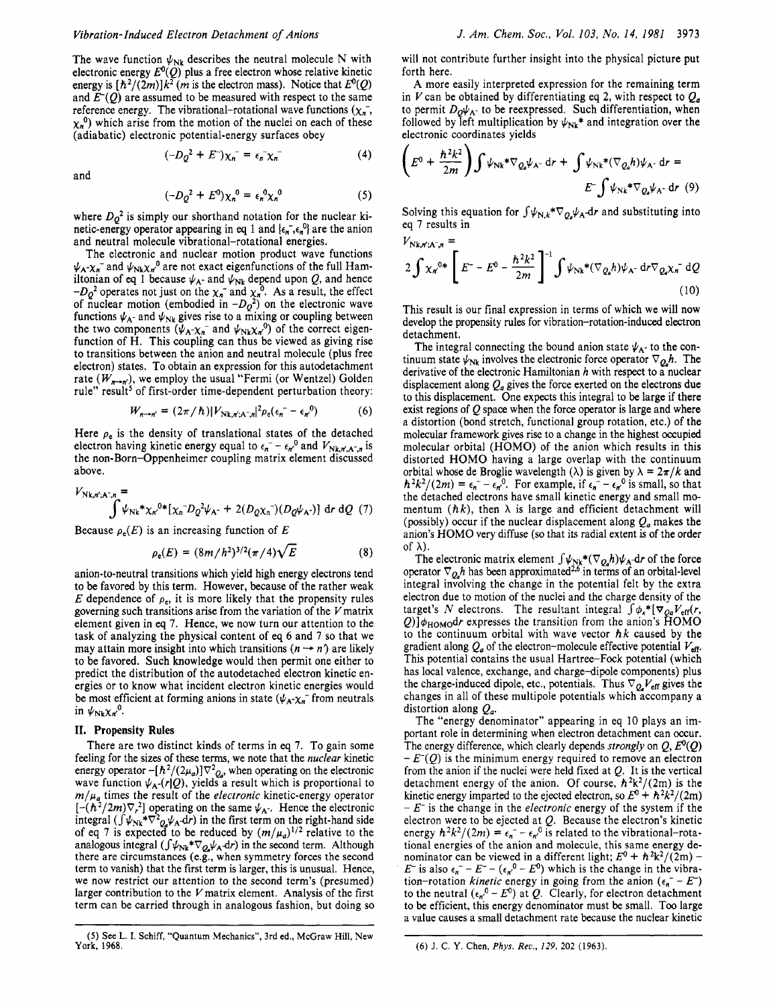The wave function  $\psi_{Nk}$  describes the neutral molecule N with electronic energy  $E^{0}(Q)$  plus a free electron whose relative kinetic energy is  $[\hbar^2/(2m)]k^2$  (*m* is the electron mass). Notice that  $E^0(0)$ and  $E(0)$  are assumed to be measured with respect to the same reference energy. The vibrational-rotational wave functions  $(\chi_n)$ ,  $\chi_n^{0}$ ) which arise from the motion of the nuclei on each of these (adiabatic) electronic potential-energy surfaces obey

$$
(-D_Q^2 + E^-)\chi_n^- = \epsilon_n^- \chi_n^- \tag{4}
$$

and

$$
(-D_Q^2 + E^0) \chi_n^0 = \epsilon_n^0 \chi_n^0 \tag{5}
$$

where  $D_0^2$  is simply our shorthand notation for the nuclear kinetic-energy operator appearing in eq 1 and  $\{\epsilon_n, \epsilon_n\}$  are the anion and neutral molecule vibrational-rotational energies.

The electronic and nuclear motion product wave functions  $\psi_A - \chi_n$  and  $\psi_{Nk} \chi_n^0$  are not exact eigenfunctions of the full Hamiltonian of eq 1 because  $\psi_{A}$ - and  $\psi_{Nk}$  depend upon Q, and hence  $-D_Q^2$  operates not just on the  $\chi_n^-$  and  $\chi_n^0$ . As a result, the effect of nuclear motion (embodied in  $-D_Q^2$ ) on the electronic wave functions  $\psi_{A^-}$  and  $\psi_{Nk}$  gives rise to a mixing or coupling between the two components  $(\psi_{A} - \chi_{n}$  and  $\psi_{Nk}\chi_{n}^{0})$  of the correct eigenfunction of H. This coupling can thus be viewed as giving rise to transitions between the anion and neutral molecule (plus free electron) states. To obtain an expression for this autodetachment rate  $(W_{n\rightarrow n})$ , we employ the usual "Fermi (or Wentzel) Golden rule" result<sup>5</sup> of first-order time-dependent perturbation theory:

$$
W_{n\to n'} = (2\pi/\hbar)|V_{\text{Nk},n';A^-,n}|^2 \rho_{\text{e}}(\epsilon_n - \epsilon_{n'}^0)
$$
 (6)

Here  $\rho_e$  is the density of translational states of the detached electron having kinetic energy equal to  $\epsilon_n - \epsilon_d$ <sup>0</sup> and  $V_{Nk,n',A^-n}$  is the non-Born-Oppenheimer coupling matrix element discussed above.

$$
V_{Nk,r';A^-,n} = \int \psi_{Nk} * \chi_n^{0*} [\chi_n^{-} D_Q^2 \psi_{A^-} + 2(D_Q \chi_n^{-}) (D_Q \psi_{A^-})] dr dQ (7)
$$

Because  $\rho_e(E)$  is an increasing function of E

$$
\rho_{e}(E) = (8m/h^2)^{3/2} (\pi/4) \sqrt{E}
$$
 (8)

anion-to-neutral transitions which yield high energy electrons tend to be favored by this term. However, because of the rather weak *E* dependence of  $\rho_e$ , it is more likely that the propensity rules governing such transitions arise from the variation of the  $V$  matrix element given in *eq* **7.** Hence, we now turn our attention to the task of analyzing the physical content of eq *6* and 7 so that we element given in eq 7. Hence, we now turn our attention to the task of analyzing the physical content of eq 6 and 7 so that we may attain more insight into which transitions  $(n \rightarrow n')$  are likely to be favored. Such knowledge would then permit one either to predict the distribution of the autodetached electron kinetic energies or to know what incident electron kinetic energies would be most efficient at forming anions in state ( $\psi_A - \chi_n$  from neutrals in  $\psi_{Nk}\chi_{n}^{0}$ .

#### **11. Propensity Rules**

There are two distinct kinds of terms in eq 7. To gain some feeling for the sizes of these terms, we note that the nuclear kinetic energy operator  $-[\hbar^2/(2\mu_a)]\nabla^2_{Q_a}$ , when operating on the electronic wave function  $\psi_A(r|Q)$ , yields a result which is proportional to  $m/\mu_a$  times the result of the *electronic* kinetic-energy operator  $[-(\hbar^2/2m)\nabla_r^2]$  operating on the same  $\psi_{A}$ -. Hence the electronic integral ( $\int \psi_{Nk}*\nabla^2 \phi_k \psi_A dr$ ) in the first term on the right-hand side of eq 7 is expected to be reduced by  $(m/\mu_a)^{1/2}$  relative to the analogous integral  $(\int \psi_{Nk} * \nabla_{Q_k} \psi_A \, dr)$  in the second term. Although there are circumstances (e.g., when symmetry forces the second term to vanish) that the first term is larger, this is **unusual.** Hence, we now restrict our attention to the second term's (presumed) larger contribution to the  $V$  matrix element. Analysis of the first term can be carried through in analogous fashion, but doing so

will not contribute further insight into the physical picture put forth here.

A more easily interpreted expression for the remaining term in V can be obtained by differentiating eq 2, with respect to  $Q_a$ to permit  $D_0\psi_{A^-}$  to be reexpressed. Such differentiation, when followed by left multiplication by  $\psi_{Nk}$ <sup>\*</sup> and integration over the electronic coordinates yields

$$
\left(E^{0} + \frac{\hbar^{2}k^{2}}{2m}\right) \int \psi_{Nk} * \nabla_{Q_{a}} \psi_{A^{-}} dr + \int \psi_{Nk} * (\nabla_{Q_{a}} h) \psi_{A^{-}} dr =
$$
  

$$
E^{-} \int \psi_{Nk} * \nabla_{Q_{a}} \psi_{A^{-}} dr
$$
 (9)

Solving this equation for  $\int \psi_{N,k}*\nabla_{Q_{\alpha}}\psi_A d\tau$  and substituting into eq 7 results in

$$
V_{Nk,n';A^{-},n} = 2 \int \chi_n^{0*} \left[ E^{-} - E^{0} - \frac{\hbar^2 k^2}{2m} \right]^{-1} \int \psi_{Nk} * (\nabla_{Q_a} h) \psi_{A^{-}} d\mathbf{r} \nabla_{Q_a} \chi_n^{-} dQ
$$
\n(10)

This result is our final expression in terms of which we will now develop the propensity rules for vibration-rotation-induced electron detachment.

The integral connecting the bound anion state  $\psi_{A}$ - to the continuum state  $\psi_{Nk}$  involves the electronic force operator  $\nabla_{Q_k} h$ . The derivative of the electronic Hamiltonian h with respect to a nuclear displacement along  $Q_a$  gives the force exerted on the electrons due to this displacement. One expects this integral to be large if there exist regions of  $Q$  space when the force operator is large and where a distortion (bond stretch, functional group rotation, etc.) of the molecular framework gives rise to a change in the highest occupied molecular orbital (HOMO) of the anion which results in this distorted HOMO having a large overlap with the continuum orbital whose de Broglie wavelength  $(\lambda)$  is given by  $\lambda = 2\pi/k$  and  $\hbar^2 k^2/(2m) = \epsilon_n^- - \epsilon_n^0$ . For example, if  $\epsilon_n^- - \epsilon_n^0$  is small, so that the detached electrons have small kinetic energy and small momentum  $(hk)$ , then  $\lambda$  is large and efficient detachment will (possibly) occur if the nuclear displacement along  $Q_a$  makes the anion's HOMO very diffuse (so that its radial extent is of the order of  $\lambda$ ).

The electronic matrix element  $\int \psi_{Nk}^*(\nabla_{Q_n}h)\psi_A dr$  of the force operator  $\nabla_{\mathbf{Q}} h$  has been approximated<sup>2,6</sup> in terms of an orbital-level integral involving the change in the potential felt by the extra electron due to motion of the nuclei and the charge density of the target's *N* electrons. The resultant integral  $\int \phi_k^* [\nabla_{Oa} V_{eff}(r,$  $Q$ )] $\phi_{\text{HOMO}}$ dr expresses the transition from the anion's HOMO to the continuum orbital with wave vector  $\hbar k$  caused by the gradient along  $Q_a$  of the electron-molecule effective potential  $V_{\text{eff}}$ . This potential contains the usual Hartree-Fock potential (which has local valence, exchange, and charge-dipole components) plus the charge-induced dipole, etc., potentials. Thus  $\nabla_{Q_a} V_{\text{eff}}$  gives the changes in all of these multipole potentials which accompany a distortion along  $Q_a$ .

The "energy denominator" appearing in eq 10 plays an important role in determining when electron detachment can occur. The energy difference, which clearly depends strongly on  $Q$ ,  $E^{0}(Q)$  $-E<sub>0</sub>(Q)$  is the minimum energy required to remove an electron from the anion if the nuclei were held fixed at  $Q$ . It is the vertical detachment energy of the anion. Of course,  $\hbar^2 k^2/(2m)$  is the kinetic energy imparted to the ejected electron, so  $E^0 + h^2k^2/(2m)$ - *E-* is the change in the electronic energy of the system if the electron were to be ejected at  $Q$ . Because the electron's kinetic energy  $\hbar^2 k^2/(2m) = \epsilon_n^- - \epsilon_{n'}^0$  is related to the vibrational-rotational energies of the anion and molecule, this same energy denominator can be viewed in a different light;  $E^0 + \hbar^2 k^2/(2m)$  -*E*- is also  $\epsilon_n^-$  – *E*-  $(\epsilon_n^{0}$  – *E*<sup>0</sup>) which is the change in the vibration-rotation *kinetic* energy in going from the anion  $(\epsilon_n - E)$ to the neutral  $(\epsilon_n^0 - E^0)$  at *Q*. Clearly, for electron detachment to be efficient, this energy denominator must be small. Too large a value causes a small detachment rate because the nuclear kinetic

**<sup>(6)</sup>** J. **C.** *Y.* **Chen,** *Phys. Rev., 129,* **202** (1963).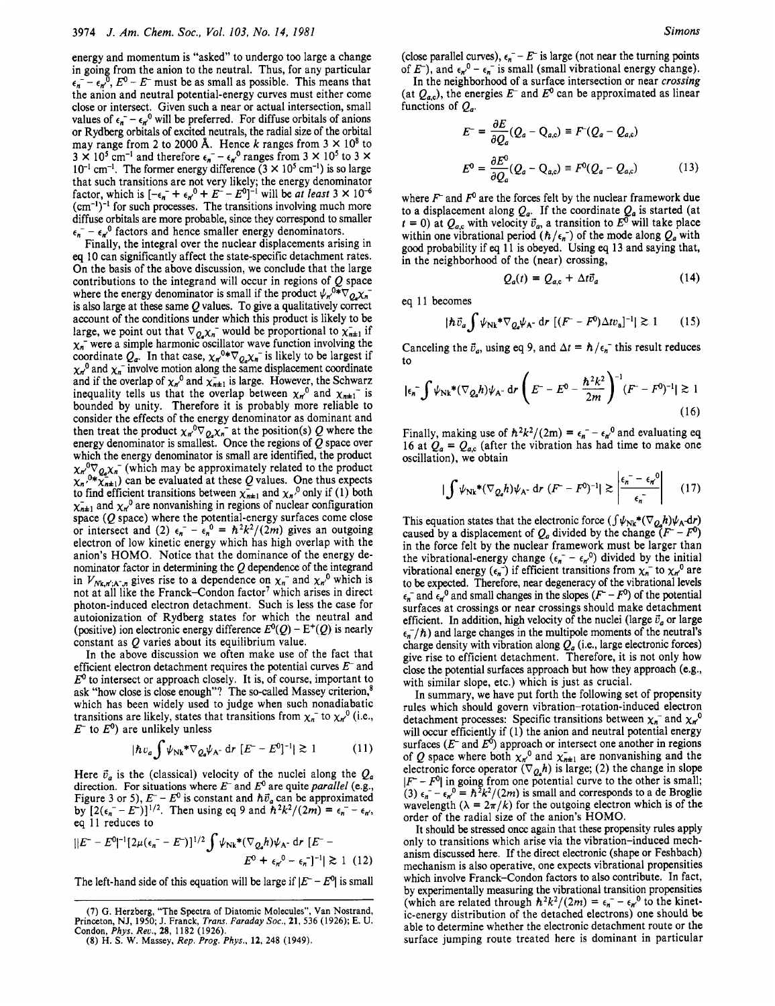energy and momentum is "asked" to undergo too large a change in going from the anion to the neutral. Thus, for any particular  $\epsilon_n$ <sup>-</sup>  $\epsilon_n$ <sup>0</sup>,  $E^0$  –  $E^-$  must be as small as possible. This means that the anion and neutral potential-energy curves must either come close or intersect. Given such a near or actual intersection, small values of  $\epsilon_n = \epsilon_{n'}^0$  will be preferred. For diffuse orbitals of anions or Rydberg orbitals of excited neutrals, the radial size of the orbital may range from 2 to 2000 Å. Hence  $k$  ranges from  $3 \times 10^8$  to  $3 \times 10^5$  cm<sup>-1</sup> and therefore  $\epsilon_n$ <sup>-</sup> -  $\epsilon_n$ <sup>0</sup> ranges from  $3 \times 10^5$  to  $3 \times$  $10^{-1}$  cm<sup>-1</sup>. The former energy difference  $(3 \times 10^5 \text{ cm}^{-1})$  is so large that such transitions are not very likely; the energy denominator factor, which is  $[-\epsilon_n^+ + \epsilon_n^0 + E^- - E^0]^{-1}$  will be *at least*  $3 \times 10^{-6}$  $(cm<sup>-1</sup>)<sup>-1</sup>$  for such processes. The transitions involving much more diffuse orbitals are more probable, since they correspond to smaller  $\epsilon_n$ <sup>-</sup>  $\epsilon_n$ <sup>0</sup> factors and hence smaller energy denominators.

Finally, the integral over the nuclear displacements arising in *eq* 10 can significantly affect the state-specific detachment rates. **On** the basis of the above discussion, we conclude that the large contributions to the integrand will occur in regions of *Q* space where the energy denominator is small if the product  $\psi_n^0 * \nabla_{0,\chi_n}$ . is also large at these same *Q* values. To give a qualitatively correct account of the conditions under which this product is likely to be large, we point out that  $\nabla_{Q_a} \chi_n$  would be proportional to  $\chi_{n\pm 1}$  if  $\chi_n$ <sup>-</sup> were a simple harmonic oscillator wave function involving the coordinate  $Q_a$ . In that case,  $\chi_n^{0*} \nabla_{Q_a} \chi_n^{-1}$  is likely to be largest if  $\chi_n^0$  and  $\chi_n^-$  involve motion along the same displacement coordinate and if the overlap of  $\chi_n^0$  and  $\chi_{n+1}^-$  is large. However, the Schwarz inequality tells us that the overlap between  $\chi_{n}^{0}$  and  $\chi_{n+1}^{-}$  is bounded by unity. Therefore it is probably more reliable to consider the effects of the energy denominator as dominant and then treat the product  $\chi_{n}^{0} \nabla_{Q_{n}} \chi_{n}^{-}$  at the position(s) Q where the energy denominator is smallest. Once the regions of *Q* space over which the energy denominator is small are identified, the product  $\chi_{n}^{0}\nabla_{Q_{n}}\chi_{n}^{-}$  (which may be approximately related to the product  $\chi_n^{0*}\tilde{\chi}_{n\pm 1}$  can be evaluated at these Q values. One thus expects to find efficient transitions between  $\chi_{n+1}$  and  $\chi_n$ <sup>0</sup> only if (1) both  $\chi_{n+1}^-$  and  $\chi_n^0$  are nonvanishing in regions of nuclear configuration space (Q space) where the potential-energy surfaces come close or intersect and (2)  $\epsilon_n^- - \epsilon_n^0 = \hbar^2 k^2/(2m)$  gives an outgoing electron of low kinetic energy which has high overlap with the anion's HOMO. Notice that the dominance of the energy denominator factor in determining the *Q* dependence of the integrand in  $V_{Nk,n',A^{-},n}$  gives rise to a dependence on  $\chi_n$  and  $\chi_{n'}^{0}$  which is not at all like the Franck-Condon factor' which arises in direct photon-induced electron detachment. Such is less the case for autoionization of Rydberg states for which the neutral and (positive) ion electronic energy difference  $E^0(Q) - E^+(Q)$  is nearly constant as *Q* varies about its equilibrium value.

In the above discussion we often make use of the fact that efficient electron detachment requires the potential curves  $E^-$  and  $E<sup>0</sup>$  to intersect or approach closely. It is, of course, important to ask "how close is close enough"? The so-called Massey criterion, which has been widely used to judge when such nonadiabatic transitions are likely, states that transitions from  $\chi_n$ <sup>t</sup> to  $\chi_n^0$  (i.e.,  $E^-$  to  $E^0$ ) are unlikely unless

$$
|\hbar v_a \int \psi_{\text{Nk}}^* \nabla_{Q_a} \psi_{\text{A}^-} \, \text{d}r \, \left[ E^- - E^0 \right]^{-1} |\gtrsim 1 \tag{11}
$$

Here  $\vec{v}_a$  is the (classical) velocity of the nuclei along the  $Q_a$ direction. For situations where  $E^-$  and  $E^0$  are quite *parallel* (e.g., direction. For situations where E and E<sup>3</sup> are quite *parallel* (e.g., Figure 3 or 5),  $E^{-} - E^{0}$  is constant and  $\hbar \vec{v}_a$  can be approximated Figure 5 or 5),  $E = E^T$  is constant and  $h\nu_a$  can be approximated<br>by  $[2(\epsilon_n^- - E^-)]^{1/2}$ . Then using eq 9 and  $\hbar^2 k^2/(2m) = \epsilon_n^- - \epsilon_{\pi}$ , eq 11 reduces to

$$
||E^{-} - E^{0}|^{-1} [2\mu(\epsilon_{n}^{-} - E^{-})]^{1/2} \int \psi_{Nk}^{*} (\nabla_{Q_{\alpha}} h) \psi_{A^{-}} dr \ [E^{-} - E^{0}]^{-1} ||g_{N}^{*} + \epsilon_{n}^{0} - \epsilon_{n}^{-}]^{-1} ||g_{N}^{*} + (|I2)|
$$

The left-hand side of this equation will be large if  $|E - E^0|$  is small

(close parallel curves),  $\epsilon_n$  –  $E^-$  is large (not near the turning points of  $E^-$ ), and  $\epsilon_{n}^0 - \epsilon_{n}^-$  is small (small vibrational energy change).

**In** the neighborhood of a surface intersection or near *crossing*  (at  $Q_{a,c}$ ), the energies  $E^-$  and  $E^0$  can be approximated as linear functions of  $Q_a$ .

$$
E^{-} = \frac{\partial E}{\partial Q_a} (Q_a - Q_{a,c}) \equiv F^{-}(Q_a - Q_{a,c})
$$
  

$$
E^{0} = \frac{\partial E^{0}}{\partial Q_a} (Q_a - Q_{a,c}) \equiv F^{0}(Q_a - Q_{a,c})
$$
 (13)

where  $F<sup>-</sup>$  and  $F<sup>0</sup>$  are the forces felt by the nuclear framework due to a displacement along  $Q_a$ . If the coordinate  $Q_a$  is started (at  $t = 0$ ) at  $Q_{a,c}$  with velocity  $\vec{v}_a$ , a transition to  $E^{\sigma}$  will take place within one vibrational period  $(h/\epsilon_n)$  of the mode along  $Q_a$  with good probability if *eq* **11** is obeyed. Using *eq* 13 and saying that, in the neighborhood of the (near) crossing,

$$
Q_a(t) = Q_{a,c} + \Delta t \vec{v}_a \tag{14}
$$

eq 11 becomes

$$
|\hbar \vec{v}_a \int \psi_{\rm Nk}^* \nabla_{Q_a} \psi_{\rm A} \, \mathrm{d}r \, \left[ (F^- - F^0) \Delta t v_a \right]^{-1} | \gtrsim 1 \qquad (15)
$$

Canceling the  $\vec{v}_a$ , using eq 9, and  $\Delta t = \hbar/\epsilon_n$ <sup>-</sup> this result reduces to

$$
|\epsilon_n^-\int \psi_{Nk}^*(\nabla_{Q_n}h)\psi_{A^-} dr \left(E^- - E^0 - \frac{\hbar^2 k^2}{2m}\right)^{-1} (F^- - F^0)^{-1}|\gtrsim 1
$$
\n(16)

Finally, making use of  $\hbar^2 k^2/(2m) = \epsilon_n^2 - \epsilon_n^0$  and evaluating eq 16 at  $Q_a = Q_{a,c}$  (after the vibration has had time to make one oscillation), we obtain

$$
\left|\int \psi_{\rm{Nk}}^{*}(\nabla_{Q_{a}}h)\psi_{A^{-}}\,\mathrm{d}r\,(F^{-}-F^{0})^{-1}\right|\gtrsim\left|\frac{\epsilon_{n}^{-}-\epsilon_{n}^{0}}{\epsilon_{n}^{-}}\right|\qquad(17)
$$

This equation states that the electronic force  $(\int \psi_{Nk} * (\nabla_{Q_n} h) \psi_A \, dr)$ caused by a displacement of  $Q_a$  divided by the change  $(F^- - F^0)$ in the force felt by the nuclear framework must be larger than the vibrational-energy change  $(\epsilon_n - \epsilon_{n}^0)$  divided by the initial vibrational energy  $(\epsilon_n^-)$  if efficient transitions from  $\chi_n^-$  to  $\chi_{n'}^0$  are to be expected. Therefore, near degeneracy of the vibrational levels  $\epsilon_n$ <sup>-</sup> and  $\epsilon_n^0$  and small changes in the slopes  $(F - F^0)$  of the potential surfaces at crossings or near crossings should make detachment efficient. In addition, high velocity of the nuclei (large  $\vec{v}_a$  or large  $\epsilon_n$ <sup>-</sup>/h) and large changes in the multipole moments of the neutral's charge density with vibration along  $Q_a$  (i.e., large electronic forces) give rise to efficient detachment. Therefore, it is not only how close the potential surfaces approach but how they approach (e.g., with similar slope, etc.) which is just as crucial.

In summary, we have put forth the following set of propensity rules which should govern vibration-rotation-induced electron detachment processes: Specific transitions between  $\chi_n$  and  $\chi_n^0$ will occur efficiently if **(1)** the anion and neutral potential energy surfaces  $(E<sup>-</sup>$  and  $E<sup>0</sup>$ ) approach or intersect one another in regions of Q space where both  $\chi_{n}^{0}$  and  $\chi_{n+1}^{-}$  are nonvanishing and the electronic force operator  $(\nabla_{Q_a}h)$  is large; (2) the change in slope *IF – F<sup>o</sup>* in going from one potential curve to the other is small; (3)  $\epsilon_n^- - \epsilon_n^0 = \hbar^2 k^2/(2m)$  is small and corresponds to a de Broglie wavelength  $(\lambda = 2\pi/k)$  for the outgoing electron which is of the order of the radial size of the anion's HOMO.

It should be stressed oncc again that these propensity rules apply only to transitions which arise via the vibration-induced mechanism discussed here. If the direct electronic (shape or Feshbach) mechanism is also operative, one expects vibrational propensities which involve Franck-Condon factors to also contribute. **In** fact, by experimentally measuring the vibrational transition propensities (which are related through  $\hbar^2 k^2/(2m) = \epsilon_n - \epsilon_n^0$  to the kinetic-energy distribution of the detached electrons) one should be able to determine whether the electronic detachment route or the surface jumping route treated here is dominant in particular

**<sup>(7)</sup>** *G.* **Herzberg, "The Spectra** of **Diatomic Molecules", Van Nostrand, Princeton, NJ, 1950; J. Franck,** *Trans. Faraday SOC.,* **21,536 (1926); E. U. Condon,** *Phys. Reu.,* **28, 1182 (1926).** 

**<sup>(8)</sup> H. S. W. Massey,** *Rep. Prog. Phys.,* **12, 248 (1949).**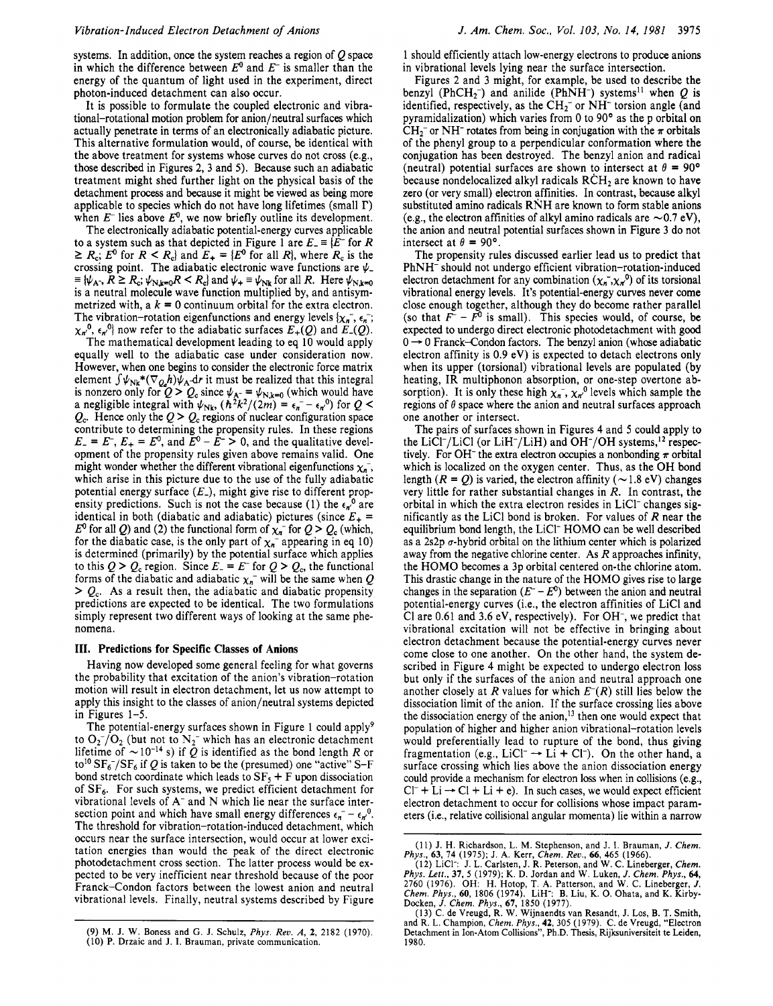systems. In addition, once the system reaches a region of Q space in which the difference between *E"* and *E-* is smaller than the energy of the quantum of light used in the experiment, direct photon-induced detachment can also occur.

It is possible to formulate the coupled electronic and vibrational-rotational motion problem for anion/neutral surfaces which actually penetrate in terms of an electronically adiabatic picture. This alternative formulation would, of course, be identical with the above treatment for systems whose curves do not cross (e.g., those described in Figures 2,3 and *5).* Because such an adiabatic treatment might shed further light on the physical basis of the detachment process and because it might be viewed as being more applicable to species which do not have long lifetimes (small **I')**  when  $E^-$  lies above  $E^0$ , we now briefly outline its development.

The electronically adiabatic potential-energy curves applicable to a system such as that depicted in Figure 1 are  $E_{-} = \{E^{-} \text{ for } R\}$  $\geq R_c$ ;  $E^0$  for  $R \leq R_c$ } and  $E_+ = \{E^0$  for all  $R$ }, where  $R_c$  is the crossing point. The adiabatic electronic wave functions are  $\psi$ <br>=  $\psi_{k-1}$ ,  $R \ge R$ :  $\psi_{k1}$ ,  $R \le R$  and  $\psi_k$  =  $\psi_{k1}$  for all R. Here  $\psi_{k1}$  $\equiv \{\psi_{A^-}, R \geq R_c; \psi_{N,k=0} R < R_c\}$  and  $\psi_+ \equiv \psi_{Nk}$  for all *R*. Here  $\psi_{N,k=0}$ is a neutral molecule wave function multiplied by, and antisymmetrized with,  $a \, k = 0$  continuum orbital for the extra electron. The vibration-rotation eigenfunctions and energy levels  $\{x_n, \xi_n\}$ ;  $\chi_{n}^{0}$ ,  $\epsilon_{n}^{0}$  now refer to the adiabatic surfaces  $E_{+}(Q)$  and  $E_{-}(Q)$ .

The mathematical development leading to eq 10 would apply equally well to the adiabatic case under consideration now. However, when one begins to consider the electronic force matrix element  $\int \psi_{\text{Nk}}^* (\nabla_Q h) \psi_A \text{d}r$  it must be realized that this integral<br>is nonzero only for  $Q > Q_c$  since  $\psi_A = \psi_{\text{N,k}=0}$  (which would have<br>a negligible integral with  $\psi_{\text{Nk}}$ ,  $(\hbar^2 k^2/(2m) = \epsilon_n - \epsilon_n^0)$  for  $Q <$  $Q_c$ . Hence only the  $Q > Q_c$  regions of nuclear configuration space contribute to determining the propensity rules. In these regions  $E_{-} = E_{-}$ ,  $E_{+} = E_{-}^{0}$ , and  $E_{-}^{0} - E_{-}^{0} > 0$ , and the qualitative development of the propensity rules given above remains valid. One might wonder whether the different vibrational eigenfunctions  $\chi_{n}$ , which arise in this picture due to the use of the fully adiabatic potential energy surface *(E-),* might give rise to different propensity predictions. Such is not the case because (1) the  $\epsilon_{n}^{0}$  are identical in both (diabatic and adiabatic) pictures (since  $E_+$  =  $E^0$  for all Q) and (2) the functional form of  $\chi_n^-$  for  $Q > Q_c$  (which, for the diabatic case, is the only part of  $\chi_n$ <sup>-</sup> appearing in eq 10) is determined (primarily) by the potential surface which applies to this  $Q > Q_c$  region. Since  $E = E$  for  $Q > Q_c$ , the functional forms of the diabatic and adiabatic  $\chi_n^-$  will be the same when Q > *Qc.* **As** a result then, the adiabatic and diabatic propensity predictions are expected to be identical. The two formulations simply represent two different ways of looking at the same phenomena.

#### **111. Predictions for Specific Classes of Anions**

Having now developed some general feeling for what governs the probability that excitation of the anion's vibration-rotation motion will result in electron detachment, let us now attempt to apply this insight to the classes of anion/neutral systems depicted in Figures 1-5.

The potential-energy surfaces shown in Figure 1 could apply<sup>9</sup> to  $O_2^-/O_2$  (but not to  $N_2^-$  which has an electronic detachment lifetime of  $\sim 10^{-14}$  s) if  $\overline{Q}$  is identified as the bond length *R* or to<sup>10</sup>  $SF_6^-/SF_6$  if Q is taken to be the (presumed) one "active" S-F bond stretch coordinate which leads to  $SF<sub>5</sub> + F$  upon dissociation of  $SF<sub>6</sub>$ . For such systems, we predict efficient detachment for vibrational levels of **A-** and N which lie near the surface intersection point and which have small energy differences  $\epsilon_n = \epsilon_{n'}^0$ . The threshold for vibration-rotation-induced detachment, which occurs near the surface intersection, would occur at lower excitation energies than would the peak of the direct electronic photodetachment cross section. The latter process would be expected to be very inefficient near threshold because of the poor Franck-Condon factors between the lowest anion and neutral vibrational levels. Finally, neutral systems described by Figure

1 should efficiently attach low-energy electrons to produce anions in vibrational levels lying near the surface intersection.

Figures 2 and 3 might, for example, be used to describe the benzyl (PhCH<sub>2</sub><sup>-</sup>) and anilide (PhNH<sup>-</sup>) systems<sup>11</sup> when O is identified, respectively, as the  $CH_2^-$  or  $NH^-$  torsion angle (and pyramidalization) which varies from 0 to *90'* as the p orbital on  $CH_2^-$  or NH<sup>-</sup> rotates from being in conjugation with the  $\pi$  orbitals of the phenyl group to a perpendicular conformation where the conjugation has been destroyed. The benzyl anion and radical (neutral) potential surfaces are shown to intersect at  $\theta = 90^{\circ}$ because nondelocalized alkyl radicals  $\angle RCH_2$  are known to have zero (or very small) electron affinities. In contrast, because alkyl substituted amino radicals RNH are known to form stable anions (e.g., the electron affinities of alkyl amino radicals are  $\sim 0.7 \text{ eV}$ ), the anion and neutral potential surfaces shown in Figure 3 do not intersect at  $\theta = 90^\circ$ .

The propensity rules discussed earlier lead us to predict that PhNH- should not undergo efficient vibration-rotation-induced electron detachment for any combination  $(\chi_n, \chi_n^0)$  of its torsional vibrational energy levels. It's potential-energy curves never come close enough together, although they do become rather parallel (so that  $\tilde{F}$  –  $\tilde{F}$ <sup>0</sup> is small). This species would, of course, be expected to undergo direct electronic photodetachment with good (so that  $F - F^0$  is small). This species would, of course, be<br>expected to undergo direct electronic photodetachment with good<br> $0 \rightarrow 0$  Franck-Condon factors. The benzyl anion (whose adiabatic<br> $0.9 \text{ N}$ ) is a condon factor electron affinity is 0.9 eV) is expected to detach electrons only when its upper (torsional) vibrational levels are populated (by heating, IR multiphonon absorption, or one-step overtone absorption). It is only these high  $\chi_n$ ,  $\chi_n$ <sup>0</sup> levels which sample the regions of  $\theta$  space where the anion and neutral surfaces approach one another or intersect.

The pairs of surfaces shown in Figures **4** and *5* could apply to the LiCl<sup>-</sup>/LiCl (or LiH<sup>-</sup>/LiH) and OH<sup>-</sup>/OH systems,<sup>12</sup> respectively. For OH<sup>-</sup> the extra electron occupies a nonbonding  $\pi$  orbital which is localized on the oxygen center. Thus, as the OH bond length  $(R = Q)$  is varied, the electron affinity ( $\sim$ 1.8 eV) changes very little for rather substantial changes in *R.* In contrast, the orbital in which the extra electron resides in LiCl- changes significantly as the LiCl bond is broken. For values of *R* near the equilibrium bond length, the LiCl<sup>-</sup> HOMO can be well described as a 2s2p  $\sigma$ -hybrid orbital on the lithium center which is polarized away from the negative chlorine center. *As R* approaches infinity, the HOMO becomes a 3p orbital centered on-the chlorine atom. This drastic change in the nature of the HOMO gives rise to large changes in the separation  $(E^- - E^0)$  between the anion and neutral potential-energy curves (i.e., the electron affinities of LiCl and Cl are  $0.61$  and  $3.6$  eV, respectively). For OH<sup>-</sup>, we predict that vibrational excitation will not be effective in bringing about electron detachment because the potential-energy curves never come close to one another. On the other hand, the system described in Figure **4** might be expected to undergo electron loss but only if the surfaces of the anion and neutral approach one another closely at *R* values for which  $E^{-}(R)$  still lies below the dissociation limit of the anion. If the surface crossing lies above the dissociation energy of the anion,<sup>13</sup> then one would expect that population of higher and higher anion vibrational-rotation levels would preferentially lead to rupture of the bond, thus giving fragmentation (e.g., LiCl<sup>-</sup>  $\rightarrow$  Li + Cl<sup>-</sup>). On the other hand, a surface crossing which lies above the anion dissociation energy could provide a mechanism for electron loss when in collisions (eg.,  $Cl^- + Li \rightarrow Cl + Li + e$ . In such cases, we would expect efficient electron detachment to occur for collisions whose impact parameters (Le., relative collisional angular momenta) lie within a narrow

<sup>(9)</sup> **M.** J. W. Boness and G. J. Schulz, *Phys. Rev. A, 2,* 2182 (1970). (10) P. Drzaic and J. **I.** Brauman, private communication.

<sup>(11)</sup> J. H. Richardson, L. **M.** Stephenson, and J. I. Brauman, *J. Chem.* 

Phys., 63, 74 (1975); J. A. Kerr, Chem. Rev., 66, 465 (1966).<br>
(12) LiCl<sup>-</sup>: J. L. Carlsten, J. R. Peterson, and W. C. Lineberger, Chem.<br>
Phys. Lett., 37, 5 (1979); K. D. Jordan and W. Luken, *J. Chem. Phys.*, 64,<br>
2760 (1

and R. L. Champion, *Chem. Phys.*, **42**, 305 (1979). C. de Vreugd, "Electron<br>Detachment in Ion-Atom Collisions", Ph.D. Thesis, Rijksuniversiteit te Leiden, 1980.